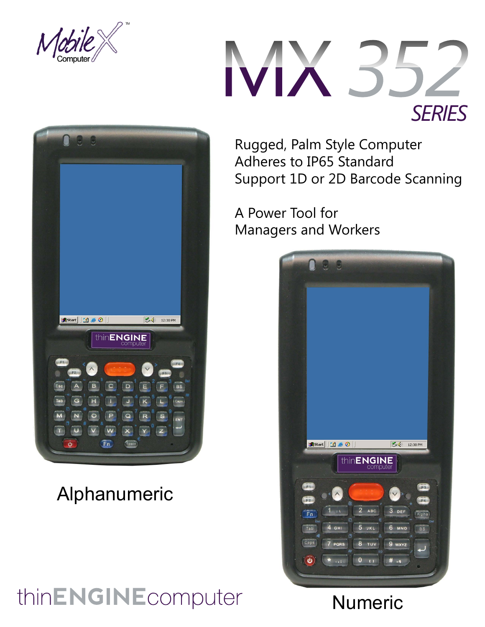



Rugged, Palm Style Computer Adheres to IP65 Standard Support 1D or 2D Barcode Scanning

A Power Tool for Managers and Workers







## Alphanumeric

# thinENGINEcomputer